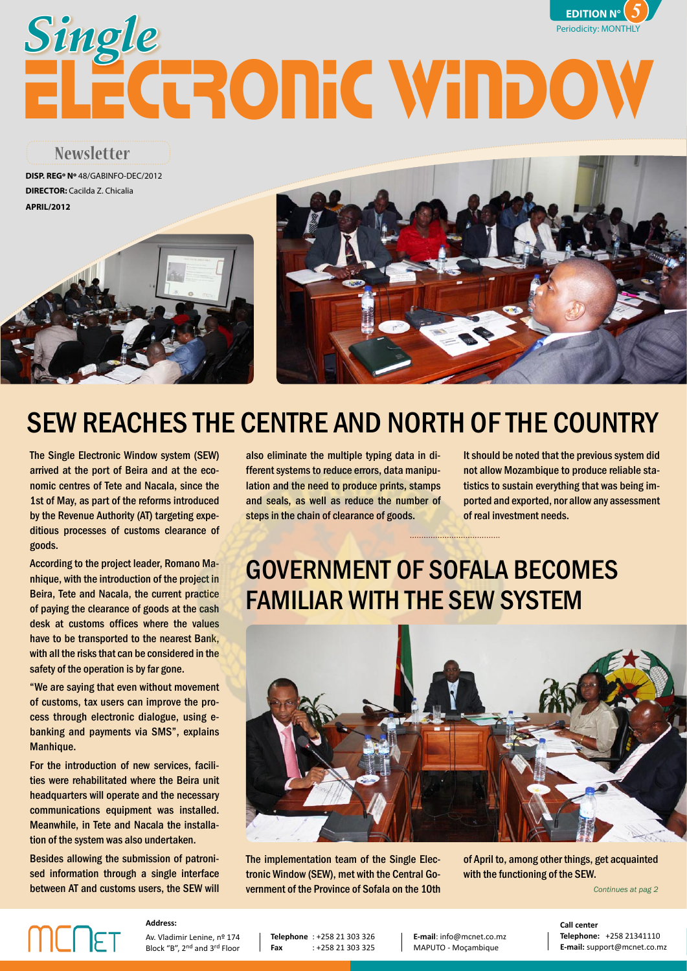### $\mathsf{PITION}\ \mathsf{N}^\circ\setminus \mathcal{J}/\mathcal{J}$ JANELA ÚNICA*Electrónica* **EDITION N°** *5* ELECTRONIC WINDOW Single **Single**





# SEW REACHES THE CENTRE AND NORTH OF THE COUNTRY

The Single Electronic Window system (SEW) arrived at the port of Beira and at the economic centres of Tete and Nacala, since the 1st of May, as part of the reforms introduced by the Revenue Authority (AT) targeting expeditious processes of customs clearance of goods.

According to the project leader, Romano Manhique, with the introduction of the project in Beira, Tete and Nacala, the current practice of paying the clearance of goods at the cash desk at customs offices where the values have to be transported to the nearest Bank, with all the risks that can be considered in the safety of the operation is by far gone.

"We are saying that even without movement of customs, tax users can improve the process through electronic dialogue, using ebanking and payments via SMS", explains Manhique.

For the introduction of new services, facilities were rehabilitated where the Beira unit headquarters will operate and the necessary communications equipment was installed. Meanwhile, in Tete and Nacala the installation of the system was also undertaken.

Besides allowing the submission of patronised information through a single interface between AT and customs users, the SEW will

also eliminate the multiple typing data in different systems to reduce errors, data manipulation and the need to produce prints, stamps and seals, as well as reduce the number of steps in the chain of clearance of goods.

It should be noted that the previous system did not allow Mozambique to produce reliable statistics to sustain everything that was being imported and exported, nor allow any assessment of real investment needs.

## GOVERNMENT OF SOFALA BECOMES FAMILIAR WITH THE SEW SYSTEM



The implementation team of the Single Electronic Window (SEW), met with the Central Government of the Province of Sofala on the 10th

of April to, among other things, get acquainted with the functioning of the SEW.

*Continues at pag 2*

# **MCNET**

**Address:** Av. Vladimir Lenine, nº 174

Block "B", 2nd and 3rd Floor

**Telephone** : +258 21 303 326 **Fax** : +258 21 303 325

**E-mail**: info@mcnet.co.mz MAPUTO - Moçambique

**Telephone:** +258 21341110<br>**E-mail:** support@mcnet.co.mz **Call center Telephone:** +258 21341110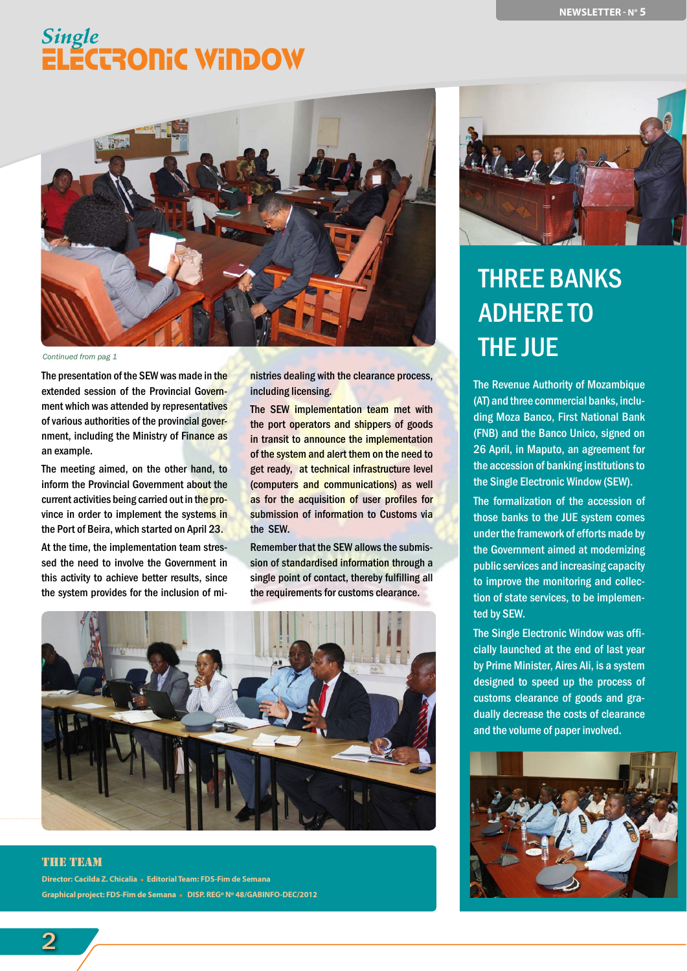

#### *Continued from pag 1*

The presentation of the SEW was made in the extended session of the Provincial Government which was attended by representatives of various authorities of the provincial government, including the Ministry of Finance as an example.

The meeting aimed, on the other hand, to inform the Provincial Government about the current activities being carried out in the province in order to implement the systems in the Port of Beira, which started on April 23.

At the time, the implementation team stressed the need to involve the Government in this activity to achieve better results, since the system provides for the inclusion of ministries dealing with the clearance process, including licensing.

The SEW implementation team met with the port operators and shippers of goods in transit to announce the implementation of the system and alert them on the need to get ready, at technical infrastructure level (computers and communications) as well as for the acquisition of user profiles for submission of information to Customs via the SEW.

Remember that the SEW allows the submission of standardised information through a single point of contact, thereby fulfilling all the requirements for customs clearance.



#### the team

**Director: Cacilda Z. Chicalia Editorial Team: FDS-Fim de Semana Graphical project: FDS-Fim de Semana DISP. REGº Nº 48/GABINFO-DEC/2012**



## THREE BANKS ADHERE TO THE JUE

The Revenue Authority of Mozambique (AT) and three commercial banks, including Moza Banco, First National Bank (FNB) and the Banco Unico, signed on 26 April, in Maputo, an agreement for the accession of banking institutions to the Single Electronic Window (SEW).

The formalization of the accession of those banks to the JUE system comes under the framework of efforts made by the Government aimed at modernizing public services and increasing capacity to improve the monitoring and collection of state services, to be implemented by SEW.

The Single Electronic Window was officially launched at the end of last year by Prime Minister, Aires Ali, is a system designed to speed up the process of customs clearance of goods and gradually decrease the costs of clearance and the volume of paper involved.

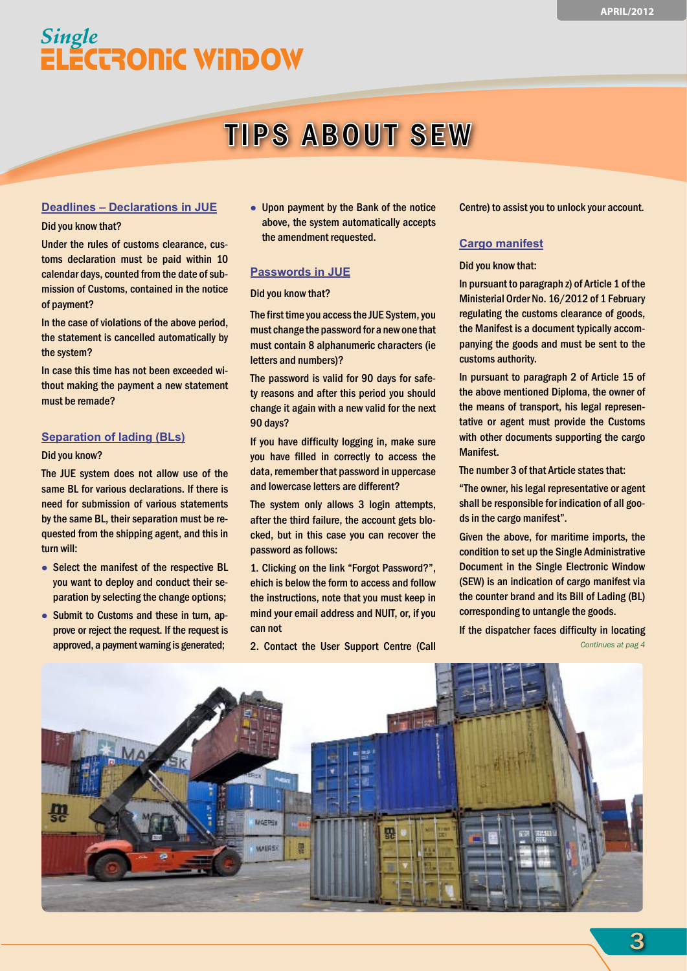## **TIPS ABOUT SEW**

#### **Deadlines – Declarations in JUE**

#### Did you know that?

Under the rules of customs clearance, customs declaration must be paid within 10 calendar days, counted from the date of submission of Customs, contained in the notice of payment?

In the case of violations of the above period, the statement is cancelled automatically by the system?

In case this time has not been exceeded without making the payment a new statement must be remade?

#### **Separation of lading (BLs)**

#### Did you know?

The JUE system does not allow use of the same BL for various declarations. If there is need for submission of various statements by the same BL, their separation must be requested from the shipping agent, and this in turn will:

- Select the manifest of the respective BL you want to deploy and conduct their separation by selecting the change options;
- Submit to Customs and these in turn, approve or reject the request. If the request is approved, a payment warning is generated;

 Upon payment by the Bank of the notice above, the system automatically accepts the amendment requested.

#### **Passwords in JUE**

#### Did you know that?

The first time you access the JUE System, you must change the password for a new one that must contain 8 alphanumeric characters (ie letters and numbers)?

The password is valid for 90 days for safety reasons and after this period you should change it again with a new valid for the next 90 days?

If you have difficulty logging in, make sure you have filled in correctly to access the data, remember that password in uppercase and lowercase letters are different?

The system only allows 3 login attempts, after the third failure, the account gets blocked, but in this case you can recover the password as follows:

1. Clicking on the link "Forgot Password?", ehich is below the form to access and follow the instructions, note that you must keep in mind your email address and NUIT, or, if you can not

2. Contact the User Support Centre (Call

Centre) to assist you to unlock your account.

#### **Cargo manifest**

#### Did you know that:

In pursuant to paragraph z) of Article 1 of the Ministerial Order No. 16/2012 of 1 February regulating the customs clearance of goods, the Manifest is a document typically accompanying the goods and must be sent to the customs authority.

In pursuant to paragraph 2 of Article 15 of the above mentioned Diploma, the owner of the means of transport, his legal representative or agent must provide the Customs with other documents supporting the cargo Manifest.

The number 3 of that Article states that:

"The owner, his legal representative or agent shall be responsible for indication of all goods in the cargo manifest".

Given the above, for maritime imports, the condition to set up the Single Administrative Document in the Single Electronic Window (SEW) is an indication of cargo manifest via the counter brand and its Bill of Lading (BL) corresponding to untangle the goods.

If the dispatcher faces difficulty in locating *Continues at pag 4*

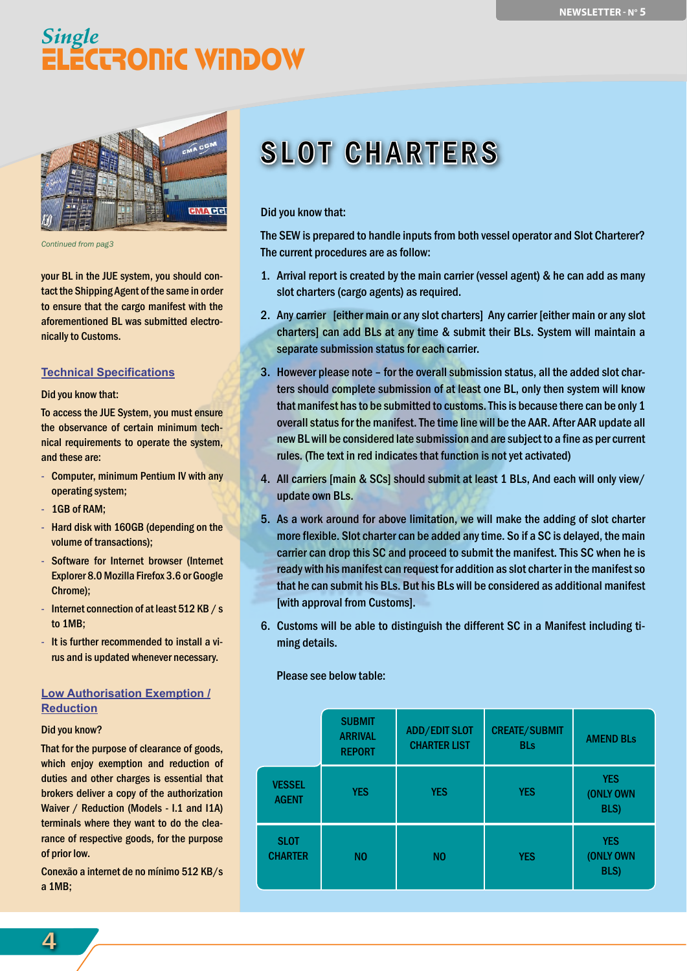

*Continued from pag3*

your BL in the JUE system, you should contact the Shipping Agent of the same in order to ensure that the cargo manifest with the aforementioned BL was submitted electronically to Customs.

#### **Technical Specifications**

Did you know that:

To access the JUE System, you must ensure the observance of certain minimum technical requirements to operate the system, and these are:

- Computer, minimum Pentium IV with any operating system;
- 1GB of RAM;
- Hard disk with 160GB (depending on the volume of transactions);
- Software for Internet browser (Internet Explorer 8.0 Mozilla Firefox 3.6 or Google Chrome);
- Internet connection of at least 512 KB / s to 1MB;
- It is further recommended to install a virus and is updated whenever necessary.

#### **Low Authorisation Exemption / Reduction**

#### Did you know?

That for the purpose of clearance of goods, which enjoy exemption and reduction of duties and other charges is essential that brokers deliver a copy of the authorization Waiver / Reduction (Models - I.1 and I1A) terminals where they want to do the clearance of respective goods, for the purpose of prior low.

Conexão a internet de no mínimo 512 KB/s a 1MB;

# **SLOT CHARTERS**

#### Did you know that:

The SEW is prepared to handle inputs from both vessel operator and Slot Charterer? The current procedures are as follow:

- 1. Arrival report is created by the main carrier (vessel agent) & he can add as many slot charters (cargo agents) as required.
- 2. Any carrier [either main or any slot charters] Any carrier [either main or any slot charters] can add BLs at any time & submit their BLs. System will maintain a separate submission status for each carrier.
- 3. However please note for the overall submission status, all the added slot charters should complete submission of at least one BL, only then system will know that manifest has to be submitted to customs. This is because there can be only 1 overall status for the manifest. The time line will be the AAR. After AAR update all new BL will be considered late submission and are subject to a fine as per current rules. (The text in red indicates that function is not yet activated)
- 4. All carriers [main & SCs] should submit at least 1 BLs, And each will only view/ update own BLs.
- 5. As a work around for above limitation, we will make the adding of slot charter more flexible. Slot charter can be added any time. So if a SC is delayed, the main carrier can drop this SC and proceed to submit the manifest. This SC when he is ready with his manifest can request for addition as slot charter in the manifest so that he can submit his BLs. But his BLs will be considered as additional manifest [with approval from Customs].
- 6. Customs will be able to distinguish the different SC in a Manifest including timing details.

Please see below table:

|                               | <b>SUBMIT</b><br><b>ARRIVAL</b><br><b>REPORT</b> | <b>ADD/EDIT SLOT</b><br><b>CHARTER LIST</b> | <b>CREATE/SUBMIT</b><br><b>BLs</b> | <b>AMEND BLs</b>                |
|-------------------------------|--------------------------------------------------|---------------------------------------------|------------------------------------|---------------------------------|
| <b>VESSEL</b><br><b>AGENT</b> | <b>YES</b>                                       | <b>YES</b>                                  | <b>YES</b>                         | <b>YES</b><br>(ONLY OWN<br>BLS) |
| <b>SLOT</b><br><b>CHARTER</b> | N <sub>0</sub>                                   | N <sub>0</sub>                              | <b>YES</b>                         | <b>YES</b><br>(ONLY OWN<br>BLS) |